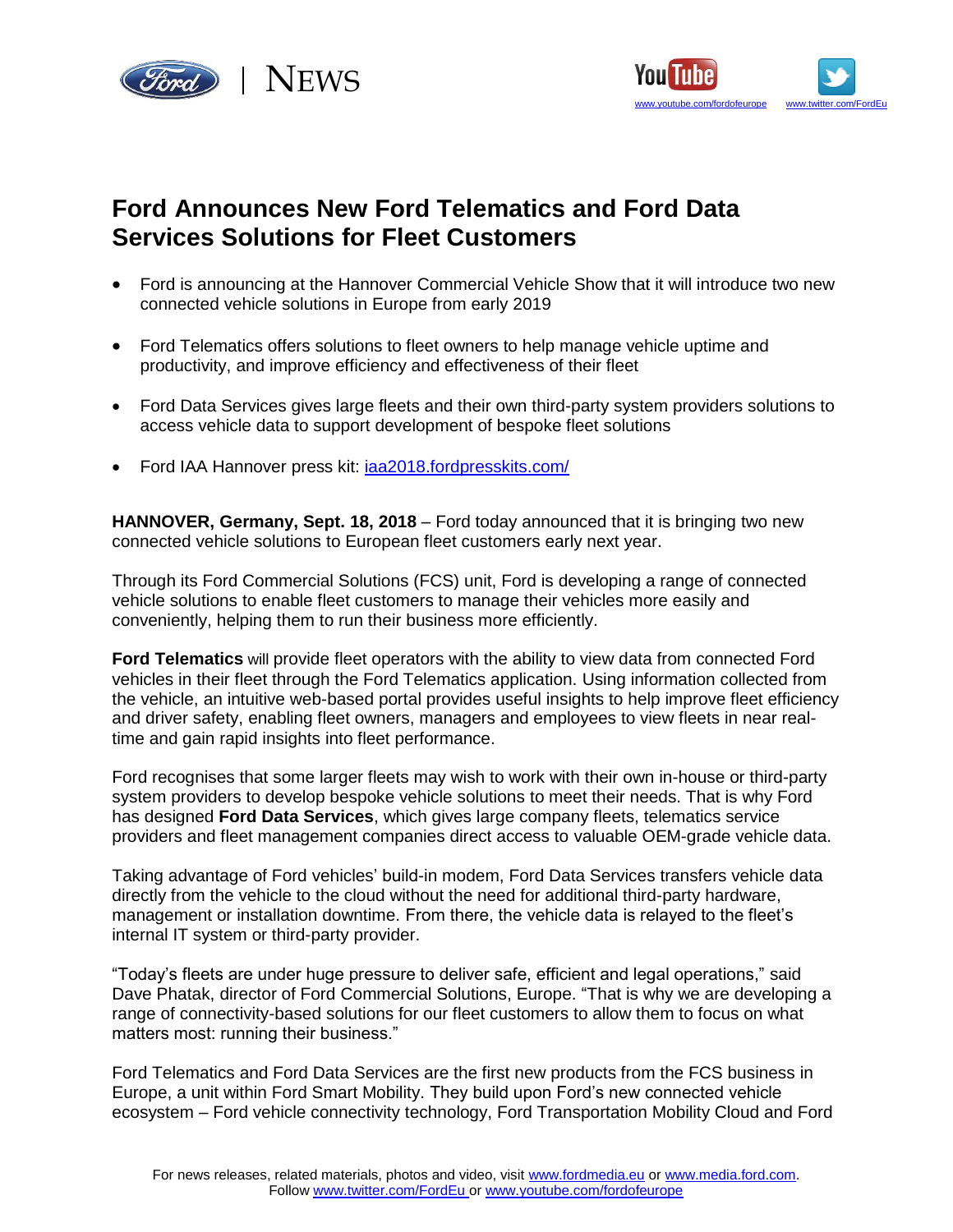



# **Ford Announces New Ford Telematics and Ford Data Services Solutions for Fleet Customers**

- Ford is announcing at the Hannover Commercial Vehicle Show that it will introduce two new connected vehicle solutions in Europe from early 2019
- Ford Telematics offers solutions to fleet owners to help manage vehicle uptime and productivity, and improve efficiency and effectiveness of their fleet
- Ford Data Services gives large fleets and their own third-party system providers solutions to access vehicle data to support development of bespoke fleet solutions
- Ford IAA Hannover press kit: [iaa2018.fordpresskits.com/](http://iaa2018.fordpresskits.com/)

**HANNOVER, Germany, Sept. 18, 2018** – Ford today announced that it is bringing two new connected vehicle solutions to European fleet customers early next year.

Through its Ford Commercial Solutions (FCS) unit, Ford is developing a range of connected vehicle solutions to enable fleet customers to manage their vehicles more easily and conveniently, helping them to run their business more efficiently.

**Ford Telematics** will provide fleet operators with the ability to view data from connected Ford vehicles in their fleet through the Ford Telematics application. Using information collected from the vehicle, an intuitive web-based portal provides useful insights to help improve fleet efficiency and driver safety, enabling fleet owners, managers and employees to view fleets in near realtime and gain rapid insights into fleet performance.

Ford recognises that some larger fleets may wish to work with their own in-house or third-party system providers to develop bespoke vehicle solutions to meet their needs. That is why Ford has designed **Ford Data Services**, which gives large company fleets, telematics service providers and fleet management companies direct access to valuable OEM-grade vehicle data.

Taking advantage of Ford vehicles' build-in modem, Ford Data Services transfers vehicle data directly from the vehicle to the cloud without the need for additional third-party hardware, management or installation downtime. From there, the vehicle data is relayed to the fleet's internal IT system or third-party provider.

"Today's fleets are under huge pressure to deliver safe, efficient and legal operations," said Dave Phatak, director of Ford Commercial Solutions, Europe. "That is why we are developing a range of connectivity-based solutions for our fleet customers to allow them to focus on what matters most: running their business."

Ford Telematics and Ford Data Services are the first new products from the FCS business in Europe, a unit within Ford Smart Mobility. They build upon Ford's new connected vehicle ecosystem – Ford vehicle connectivity technology, Ford Transportation Mobility Cloud and Ford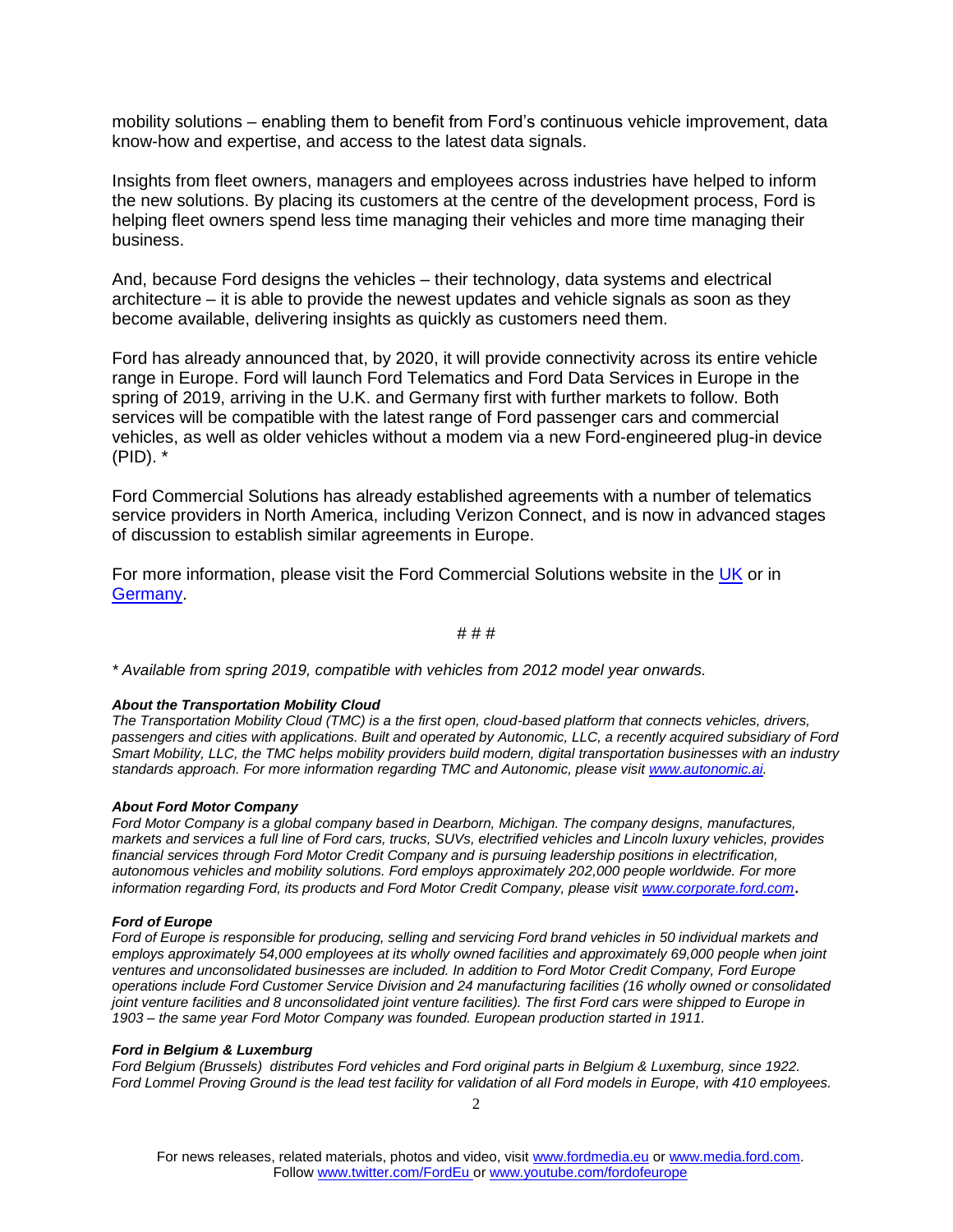mobility solutions – enabling them to benefit from Ford's continuous vehicle improvement, data know-how and expertise, and access to the latest data signals.

Insights from fleet owners, managers and employees across industries have helped to inform the new solutions. By placing its customers at the centre of the development process, Ford is helping fleet owners spend less time managing their vehicles and more time managing their business.

And, because Ford designs the vehicles – their technology, data systems and electrical architecture – it is able to provide the newest updates and vehicle signals as soon as they become available, delivering insights as quickly as customers need them.

Ford has already announced that, by 2020, it will provide connectivity across its entire vehicle range in Europe. Ford will launch Ford Telematics and Ford Data Services in Europe in the spring of 2019, arriving in the U.K. and Germany first with further markets to follow. Both services will be compatible with the latest range of Ford passenger cars and commercial vehicles, as well as older vehicles without a modem via a new Ford-engineered plug-in device (PID). \*

Ford Commercial Solutions has already established agreements with a number of telematics service providers in North America, including Verizon Connect, and is now in advanced stages of discussion to establish similar agreements in Europe.

For more information, please visit the Ford Commercial Solutions website in the [UK](http://www.telematics.ford.co.uk/) or in **Germany** 

## # # #

*\* Available from spring 2019, compatible with vehicles from 2012 model year onwards.*

### *About the Transportation Mobility Cloud*

*The Transportation Mobility Cloud (TMC) is a the first open, cloud-based platform that connects vehicles, drivers, passengers and cities with applications. Built and operated by Autonomic, LLC, a recently acquired subsidiary of Ford Smart Mobility, LLC, the TMC helps mobility providers build modern, digital transportation businesses with an industry standards approach. For more information regarding TMC and Autonomic, please visit [www.autonomic.ai.](https://urldefense.proofpoint.com/v2/url?u=http-3A__www.autonomic.ai&d=DwMFAg&c=qwStF0e4-YFyvjCeML3ehA&r=fOturtwYVvvRv40rfYqSVhDnqMzZAcw-du-f86jfKw4&m=H1qxp2xcFgc0g3_bIump8gpLZbD23lFBkRsg6EcY7Qc&s=9XpWQM1OWGVzvJcZlPONewR1jTaMSRrjbmr-CQ2I7xI&e=)*

#### *About Ford Motor Company*

*Ford Motor Company is a global company based in Dearborn, Michigan. The company designs, manufactures, markets and services a full line of Ford cars, trucks, SUVs, electrified vehicles and Lincoln luxury vehicles, provides financial services through Ford Motor Credit Company and is pursuing leadership positions in electrification, autonomous vehicles and mobility solutions. Ford employs approximately 202,000 people worldwide. For more information regarding Ford, its products and Ford Motor Credit Company, please visit [www.corporate.ford.com](http://www.corporate.ford.com/)*.

#### *Ford of Europe*

*Ford of Europe is responsible for producing, selling and servicing Ford brand vehicles in 50 individual markets and employs approximately 54,000 employees at its wholly owned facilities and approximately 69,000 people when joint ventures and unconsolidated businesses are included. In addition to Ford Motor Credit Company, Ford Europe operations include Ford Customer Service Division and 24 manufacturing facilities (16 wholly owned or consolidated joint venture facilities and 8 unconsolidated joint venture facilities). The first Ford cars were shipped to Europe in 1903 – the same year Ford Motor Company was founded. European production started in 1911.*

#### *Ford in Belgium & Luxemburg*

*Ford Belgium (Brussels) distributes Ford vehicles and Ford original parts in Belgium & Luxemburg, since 1922. Ford Lommel Proving Ground is the lead test facility for validation of all Ford models in Europe, with 410 employees.*